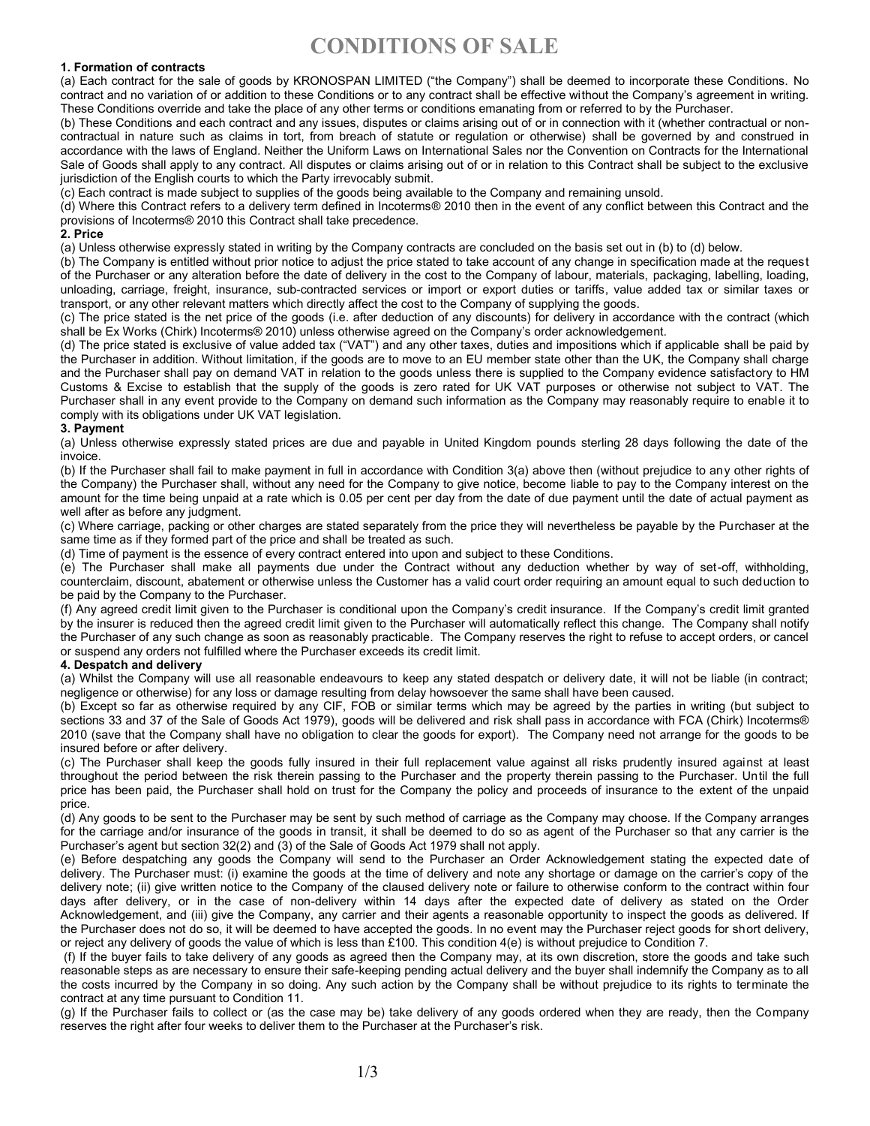# **1. Formation of contracts**

(a) Each contract for the sale of goods by KRONOSPAN LIMITED ("the Company") shall be deemed to incorporate these Conditions. No contract and no variation of or addition to these Conditions or to any contract shall be effective without the Company's agreement in writing. These Conditions override and take the place of any other terms or conditions emanating from or referred to by the Purchaser.

(b) These Conditions and each contract and any issues, disputes or claims arising out of or in connection with it (whether contractual or noncontractual in nature such as claims in tort, from breach of statute or regulation or otherwise) shall be governed by and construed in accordance with the laws of England. Neither the Uniform Laws on International Sales nor the Convention on Contracts for the International Sale of Goods shall apply to any contract. All disputes or claims arising out of or in relation to this Contract shall be subject to the exclusive jurisdiction of the English courts to which the Party irrevocably submit.

(c) Each contract is made subject to supplies of the goods being available to the Company and remaining unsold.

(d) Where this Contract refers to a delivery term defined in Incoterms® 2010 then in the event of any conflict between this Contract and the provisions of Incoterms® 2010 this Contract shall take precedence.

#### **2. Price**

(a) Unless otherwise expressly stated in writing by the Company contracts are concluded on the basis set out in (b) to (d) below.

(b) The Company is entitled without prior notice to adjust the price stated to take account of any change in specification made at the request of the Purchaser or any alteration before the date of delivery in the cost to the Company of labour, materials, packaging, labelling, loading, unloading, carriage, freight, insurance, sub-contracted services or import or export duties or tariffs, value added tax or similar taxes or transport, or any other relevant matters which directly affect the cost to the Company of supplying the goods.

(c) The price stated is the net price of the goods (i.e. after deduction of any discounts) for delivery in accordance with the contract (which shall be Ex Works (Chirk) Incoterms® 2010) unless otherwise agreed on the Company's order acknowledgement.

(d) The price stated is exclusive of value added tax ("VAT") and any other taxes, duties and impositions which if applicable shall be paid by the Purchaser in addition. Without limitation, if the goods are to move to an EU member state other than the UK, the Company shall charge and the Purchaser shall pay on demand VAT in relation to the goods unless there is supplied to the Company evidence satisfactory to HM Customs & Excise to establish that the supply of the goods is zero rated for UK VAT purposes or otherwise not subject to VAT. The Purchaser shall in any event provide to the Company on demand such information as the Company may reasonably require to enable it to comply with its obligations under UK VAT legislation.

## **3. Payment**

(a) Unless otherwise expressly stated prices are due and payable in United Kingdom pounds sterling 28 days following the date of the invoice.

(b) If the Purchaser shall fail to make payment in full in accordance with Condition 3(a) above then (without prejudice to any other rights of the Company) the Purchaser shall, without any need for the Company to give notice, become liable to pay to the Company interest on the amount for the time being unpaid at a rate which is 0.05 per cent per day from the date of due payment until the date of actual payment as well after as before any judgment.

(c) Where carriage, packing or other charges are stated separately from the price they will nevertheless be payable by the Purchaser at the same time as if they formed part of the price and shall be treated as such.

(d) Time of payment is the essence of every contract entered into upon and subject to these Conditions.

(e) The Purchaser shall make all payments due under the Contract without any deduction whether by way of set-off, withholding, counterclaim, discount, abatement or otherwise unless the Customer has a valid court order requiring an amount equal to such deduction to be paid by the Company to the Purchaser.

(f) Any agreed credit limit given to the Purchaser is conditional upon the Company's credit insurance. If the Company's credit limit granted by the insurer is reduced then the agreed credit limit given to the Purchaser will automatically reflect this change. The Company shall notify the Purchaser of any such change as soon as reasonably practicable. The Company reserves the right to refuse to accept orders, or cancel or suspend any orders not fulfilled where the Purchaser exceeds its credit limit.

## **4. Despatch and delivery**

(a) Whilst the Company will use all reasonable endeavours to keep any stated despatch or delivery date, it will not be liable (in contract; negligence or otherwise) for any loss or damage resulting from delay howsoever the same shall have been caused.

(b) Except so far as otherwise required by any CIF, FOB or similar terms which may be agreed by the parties in writing (but subject to sections 33 and 37 of the Sale of Goods Act 1979), goods will be delivered and risk shall pass in accordance with FCA (Chirk) Incoterms® 2010 (save that the Company shall have no obligation to clear the goods for export). The Company need not arrange for the goods to be insured before or after delivery.

(c) The Purchaser shall keep the goods fully insured in their full replacement value against all risks prudently insured against at least throughout the period between the risk therein passing to the Purchaser and the property therein passing to the Purchaser. Until the full price has been paid, the Purchaser shall hold on trust for the Company the policy and proceeds of insurance to the extent of the unpaid price.

(d) Any goods to be sent to the Purchaser may be sent by such method of carriage as the Company may choose. If the Company arranges for the carriage and/or insurance of the goods in transit, it shall be deemed to do so as agent of the Purchaser so that any carrier is the Purchaser's agent but section 32(2) and (3) of the Sale of Goods Act 1979 shall not apply.

(e) Before despatching any goods the Company will send to the Purchaser an Order Acknowledgement stating the expected date of delivery. The Purchaser must: (i) examine the goods at the time of delivery and note any shortage or damage on the carrier's copy of the delivery note; (ii) give written notice to the Company of the claused delivery note or failure to otherwise conform to the contract within four days after delivery, or in the case of non-delivery within 14 days after the expected date of delivery as stated on the Order Acknowledgement, and (iii) give the Company, any carrier and their agents a reasonable opportunity to inspect the goods as delivered. If the Purchaser does not do so, it will be deemed to have accepted the goods. In no event may the Purchaser reject goods for short delivery, or reject any delivery of goods the value of which is less than £100. This condition 4(e) is without prejudice to Condition 7.

(f) If the buyer fails to take delivery of any goods as agreed then the Company may, at its own discretion, store the goods and take such reasonable steps as are necessary to ensure their safe-keeping pending actual delivery and the buyer shall indemnify the Company as to all the costs incurred by the Company in so doing. Any such action by the Company shall be without prejudice to its rights to terminate the contract at any time pursuant to Condition 11.

(g) If the Purchaser fails to collect or (as the case may be) take delivery of any goods ordered when they are ready, then the Company reserves the right after four weeks to deliver them to the Purchaser at the Purchaser's risk.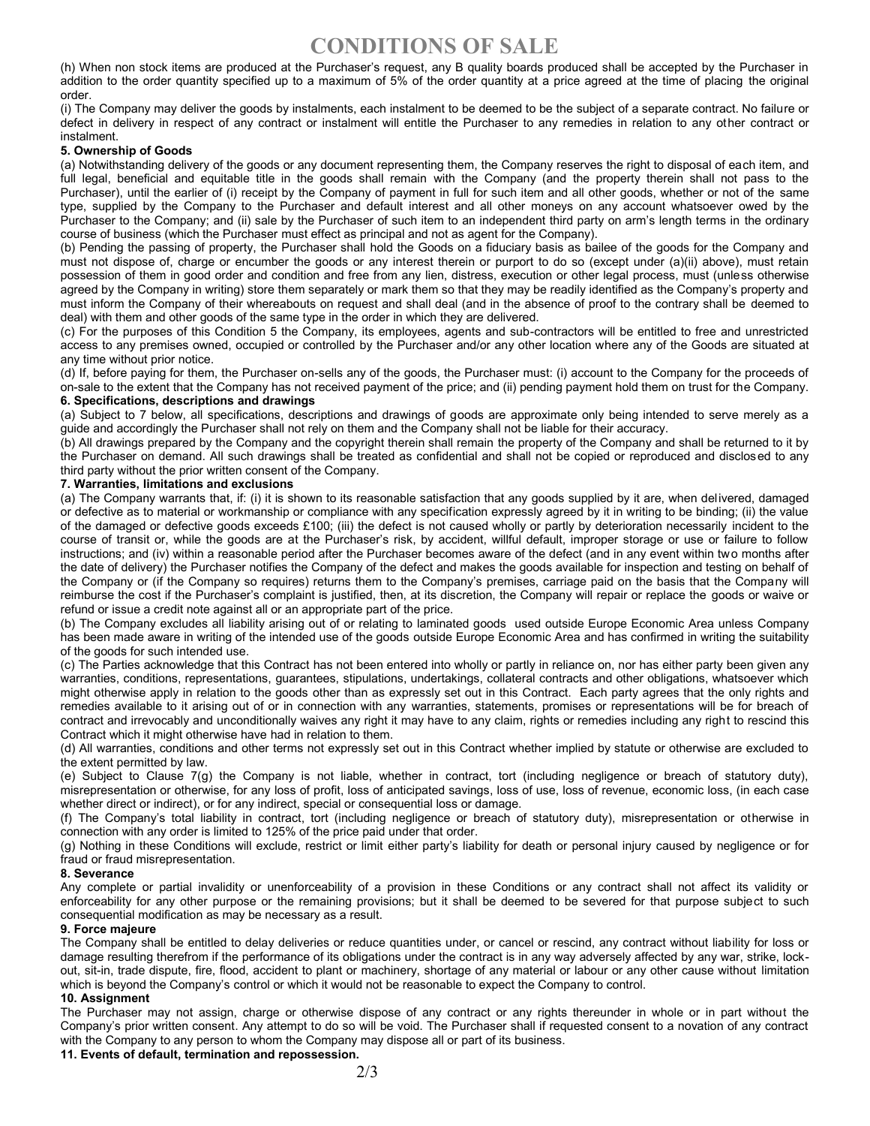# **CONDITIONS OF SALE**

(h) When non stock items are produced at the Purchaser's request, any B quality boards produced shall be accepted by the Purchaser in addition to the order quantity specified up to a maximum of 5% of the order quantity at a price agreed at the time of placing the original order.

(i) The Company may deliver the goods by instalments, each instalment to be deemed to be the subject of a separate contract. No failure or defect in delivery in respect of any contract or instalment will entitle the Purchaser to any remedies in relation to any other contract or instalment.

#### **5. Ownership of Goods**

(a) Notwithstanding delivery of the goods or any document representing them, the Company reserves the right to disposal of each item, and full legal, beneficial and equitable title in the goods shall remain with the Company (and the property therein shall not pass to the Purchaser), until the earlier of (i) receipt by the Company of payment in full for such item and all other goods, whether or not of the same type, supplied by the Company to the Purchaser and default interest and all other moneys on any account whatsoever owed by the Purchaser to the Company; and (ii) sale by the Purchaser of such item to an independent third party on arm's length terms in the ordinary course of business (which the Purchaser must effect as principal and not as agent for the Company).

(b) Pending the passing of property, the Purchaser shall hold the Goods on a fiduciary basis as bailee of the goods for the Company and must not dispose of, charge or encumber the goods or any interest therein or purport to do so (except under (a)(ii) above), must retain possession of them in good order and condition and free from any lien, distress, execution or other legal process, must (unless otherwise agreed by the Company in writing) store them separately or mark them so that they may be readily identified as the Company's property and must inform the Company of their whereabouts on request and shall deal (and in the absence of proof to the contrary shall be deemed to deal) with them and other goods of the same type in the order in which they are delivered.

(c) For the purposes of this Condition 5 the Company, its employees, agents and sub-contractors will be entitled to free and unrestricted access to any premises owned, occupied or controlled by the Purchaser and/or any other location where any of the Goods are situated at any time without prior notice.

(d) If, before paying for them, the Purchaser on-sells any of the goods, the Purchaser must: (i) account to the Company for the proceeds of on-sale to the extent that the Company has not received payment of the price; and (ii) pending payment hold them on trust for the Company. **6. Specifications, descriptions and drawings**

(a) Subject to 7 below, all specifications, descriptions and drawings of goods are approximate only being intended to serve merely as a guide and accordingly the Purchaser shall not rely on them and the Company shall not be liable for their accuracy.

(b) All drawings prepared by the Company and the copyright therein shall remain the property of the Company and shall be returned to it by the Purchaser on demand. All such drawings shall be treated as confidential and shall not be copied or reproduced and disclosed to any third party without the prior written consent of the Company.

#### **7. Warranties, limitations and exclusions**

(a) The Company warrants that, if: (i) it is shown to its reasonable satisfaction that any goods supplied by it are, when delivered, damaged or defective as to material or workmanship or compliance with any specification expressly agreed by it in writing to be binding; (ii) the value of the damaged or defective goods exceeds £100; (iii) the defect is not caused wholly or partly by deterioration necessarily incident to the course of transit or, while the goods are at the Purchaser's risk, by accident, willful default, improper storage or use or failure to follow instructions; and (iv) within a reasonable period after the Purchaser becomes aware of the defect (and in any event within two months after the date of delivery) the Purchaser notifies the Company of the defect and makes the goods available for inspection and testing on behalf of the Company or (if the Company so requires) returns them to the Company's premises, carriage paid on the basis that the Company will reimburse the cost if the Purchaser's complaint is justified, then, at its discretion, the Company will repair or replace the goods or waive or refund or issue a credit note against all or an appropriate part of the price.

(b) The Company excludes all liability arising out of or relating to laminated goods used outside Europe Economic Area unless Company has been made aware in writing of the intended use of the goods outside Europe Economic Area and has confirmed in writing the suitability of the goods for such intended use.

(c) The Parties acknowledge that this Contract has not been entered into wholly or partly in reliance on, nor has either party been given any warranties, conditions, representations, guarantees, stipulations, undertakings, collateral contracts and other obligations, whatsoever which might otherwise apply in relation to the goods other than as expressly set out in this Contract. Each party agrees that the only rights and remedies available to it arising out of or in connection with any warranties, statements, promises or representations will be for breach of contract and irrevocably and unconditionally waives any right it may have to any claim, rights or remedies including any right to rescind this Contract which it might otherwise have had in relation to them.

(d) All warranties, conditions and other terms not expressly set out in this Contract whether implied by statute or otherwise are excluded to the extent permitted by law.

(e) Subject to Clause 7(g) the Company is not liable, whether in contract, tort (including negligence or breach of statutory duty), misrepresentation or otherwise, for any loss of profit, loss of anticipated savings, loss of use, loss of revenue, economic loss, (in each case whether direct or indirect), or for any indirect, special or consequential loss or damage.

(f) The Company's total liability in contract, tort (including negligence or breach of statutory duty), misrepresentation or otherwise in connection with any order is limited to 125% of the price paid under that order.

(g) Nothing in these Conditions will exclude, restrict or limit either party's liability for death or personal injury caused by negligence or for fraud or fraud misrepresentation.

#### **8. Severance**

Any complete or partial invalidity or unenforceability of a provision in these Conditions or any contract shall not affect its validity or enforceability for any other purpose or the remaining provisions; but it shall be deemed to be severed for that purpose subject to such consequential modification as may be necessary as a result.

#### **9. Force majeure**

The Company shall be entitled to delay deliveries or reduce quantities under, or cancel or rescind, any contract without liability for loss or damage resulting therefrom if the performance of its obligations under the contract is in any way adversely affected by any war, strike, lockout, sit-in, trade dispute, fire, flood, accident to plant or machinery, shortage of any material or labour or any other cause without limitation which is beyond the Company's control or which it would not be reasonable to expect the Company to control.

## **10. Assignment**

The Purchaser may not assign, charge or otherwise dispose of any contract or any rights thereunder in whole or in part without the Company's prior written consent. Any attempt to do so will be void. The Purchaser shall if requested consent to a novation of any contract with the Company to any person to whom the Company may dispose all or part of its business.

**11. Events of default, termination and repossession.**